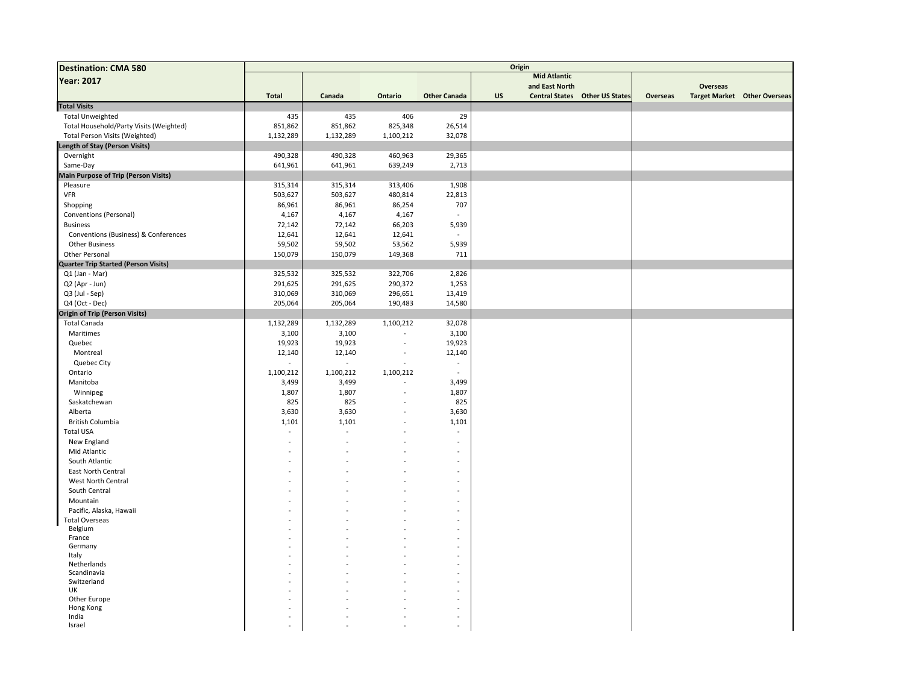| <b>Destination: CMA 580</b>                 |              |           |           |                             |           | Origin              |                                       |          |                 |                                     |
|---------------------------------------------|--------------|-----------|-----------|-----------------------------|-----------|---------------------|---------------------------------------|----------|-----------------|-------------------------------------|
| <b>Year: 2017</b>                           |              |           |           |                             |           | <b>Mid Atlantic</b> |                                       |          |                 |                                     |
|                                             |              |           |           |                             |           | and East North      |                                       |          | <b>Overseas</b> |                                     |
|                                             | <b>Total</b> | Canada    | Ontario   | <b>Other Canada</b>         | <b>US</b> |                     | <b>Central States Other US States</b> | Overseas |                 | <b>Target Market Other Overseas</b> |
| <b>Total Visits</b>                         |              |           |           |                             |           |                     |                                       |          |                 |                                     |
| <b>Total Unweighted</b>                     | 435          | 435       | 406       | 29                          |           |                     |                                       |          |                 |                                     |
| Total Household/Party Visits (Weighted)     | 851,862      | 851,862   | 825,348   | 26,514                      |           |                     |                                       |          |                 |                                     |
| Total Person Visits (Weighted)              | 1,132,289    | 1,132,289 | 1,100,212 | 32,078                      |           |                     |                                       |          |                 |                                     |
| <b>Length of Stay (Person Visits)</b>       |              |           |           |                             |           |                     |                                       |          |                 |                                     |
| Overnight                                   | 490,328      | 490,328   | 460,963   | 29,365                      |           |                     |                                       |          |                 |                                     |
| Same-Day                                    | 641,961      | 641,961   | 639,249   | 2,713                       |           |                     |                                       |          |                 |                                     |
| <b>Main Purpose of Trip (Person Visits)</b> |              |           |           |                             |           |                     |                                       |          |                 |                                     |
| Pleasure                                    | 315,314      | 315,314   | 313,406   | 1,908                       |           |                     |                                       |          |                 |                                     |
| <b>VFR</b>                                  | 503,627      | 503,627   | 480,814   | 22,813                      |           |                     |                                       |          |                 |                                     |
| Shopping                                    | 86,961       | 86,961    | 86,254    | 707                         |           |                     |                                       |          |                 |                                     |
| Conventions (Personal)                      | 4,167        | 4,167     | 4,167     |                             |           |                     |                                       |          |                 |                                     |
| <b>Business</b>                             | 72,142       | 72,142    | 66,203    | 5,939                       |           |                     |                                       |          |                 |                                     |
| Conventions (Business) & Conferences        | 12,641       | 12,641    | 12,641    |                             |           |                     |                                       |          |                 |                                     |
| <b>Other Business</b>                       | 59,502       | 59,502    | 53,562    | 5,939                       |           |                     |                                       |          |                 |                                     |
| <b>Other Personal</b>                       | 150,079      | 150,079   | 149,368   | 711                         |           |                     |                                       |          |                 |                                     |
| <b>Quarter Trip Started (Person Visits)</b> |              |           |           |                             |           |                     |                                       |          |                 |                                     |
| Q1 (Jan - Mar)                              | 325,532      | 325,532   | 322,706   | 2,826                       |           |                     |                                       |          |                 |                                     |
| Q2 (Apr - Jun)                              | 291,625      | 291,625   | 290,372   | 1,253                       |           |                     |                                       |          |                 |                                     |
| Q3 (Jul - Sep)                              | 310,069      | 310,069   | 296,651   | 13,419                      |           |                     |                                       |          |                 |                                     |
| Q4 (Oct - Dec)                              | 205,064      | 205,064   | 190,483   | 14,580                      |           |                     |                                       |          |                 |                                     |
| <b>Origin of Trip (Person Visits)</b>       |              |           |           |                             |           |                     |                                       |          |                 |                                     |
| <b>Total Canada</b>                         | 1,132,289    | 1,132,289 | 1,100,212 | 32,078                      |           |                     |                                       |          |                 |                                     |
| Maritimes                                   | 3,100        | 3,100     |           | 3,100                       |           |                     |                                       |          |                 |                                     |
| Quebec                                      | 19,923       | 19,923    | ÷,        | 19,923                      |           |                     |                                       |          |                 |                                     |
| Montreal                                    | 12,140       | 12,140    |           | 12,140                      |           |                     |                                       |          |                 |                                     |
| Quebec City                                 |              | $\sim$    |           | $\blacksquare$              |           |                     |                                       |          |                 |                                     |
| Ontario                                     | 1,100,212    | 1,100,212 | 1,100,212 | $\bar{a}$                   |           |                     |                                       |          |                 |                                     |
| Manitoba                                    | 3,499        | 3,499     |           | 3,499                       |           |                     |                                       |          |                 |                                     |
| Winnipeg                                    | 1,807        | 1,807     | ÷,        | 1,807                       |           |                     |                                       |          |                 |                                     |
| Saskatchewan                                | 825          | 825       |           | 825                         |           |                     |                                       |          |                 |                                     |
| Alberta                                     | 3,630        | 3,630     |           | 3,630                       |           |                     |                                       |          |                 |                                     |
| <b>British Columbia</b>                     | 1,101        | 1,101     |           | 1,101                       |           |                     |                                       |          |                 |                                     |
| <b>Total USA</b>                            |              |           |           |                             |           |                     |                                       |          |                 |                                     |
| New England                                 |              |           |           |                             |           |                     |                                       |          |                 |                                     |
| Mid Atlantic                                |              |           |           |                             |           |                     |                                       |          |                 |                                     |
| South Atlantic                              |              |           |           | $\tilde{\phantom{a}}$       |           |                     |                                       |          |                 |                                     |
| East North Central                          |              |           |           | $\tilde{\phantom{a}}$       |           |                     |                                       |          |                 |                                     |
| West North Central                          |              |           |           |                             |           |                     |                                       |          |                 |                                     |
| South Central                               |              |           |           |                             |           |                     |                                       |          |                 |                                     |
| Mountain                                    |              |           |           |                             |           |                     |                                       |          |                 |                                     |
| Pacific, Alaska, Hawaii                     |              |           |           |                             |           |                     |                                       |          |                 |                                     |
| <b>Total Overseas</b>                       |              |           |           | $\sim$                      |           |                     |                                       |          |                 |                                     |
| Belgium                                     |              |           |           |                             |           |                     |                                       |          |                 |                                     |
| France                                      |              |           |           | $\overline{a}$              |           |                     |                                       |          |                 |                                     |
| Germany                                     |              |           |           |                             |           |                     |                                       |          |                 |                                     |
| Italy                                       |              |           |           | ä,                          |           |                     |                                       |          |                 |                                     |
| Netherlands                                 |              |           |           | $\tilde{\phantom{a}}$       |           |                     |                                       |          |                 |                                     |
| Scandinavia                                 |              |           |           |                             |           |                     |                                       |          |                 |                                     |
| Switzerland                                 |              |           |           | $\tilde{\phantom{a}}$       |           |                     |                                       |          |                 |                                     |
| UK                                          |              |           |           |                             |           |                     |                                       |          |                 |                                     |
| Other Europe                                |              |           |           |                             |           |                     |                                       |          |                 |                                     |
| Hong Kong<br>India                          |              |           |           | $\tilde{\phantom{a}}$<br>÷, |           |                     |                                       |          |                 |                                     |
| Israel                                      |              |           |           | $\overline{a}$              |           |                     |                                       |          |                 |                                     |
|                                             |              |           |           |                             |           |                     |                                       |          |                 |                                     |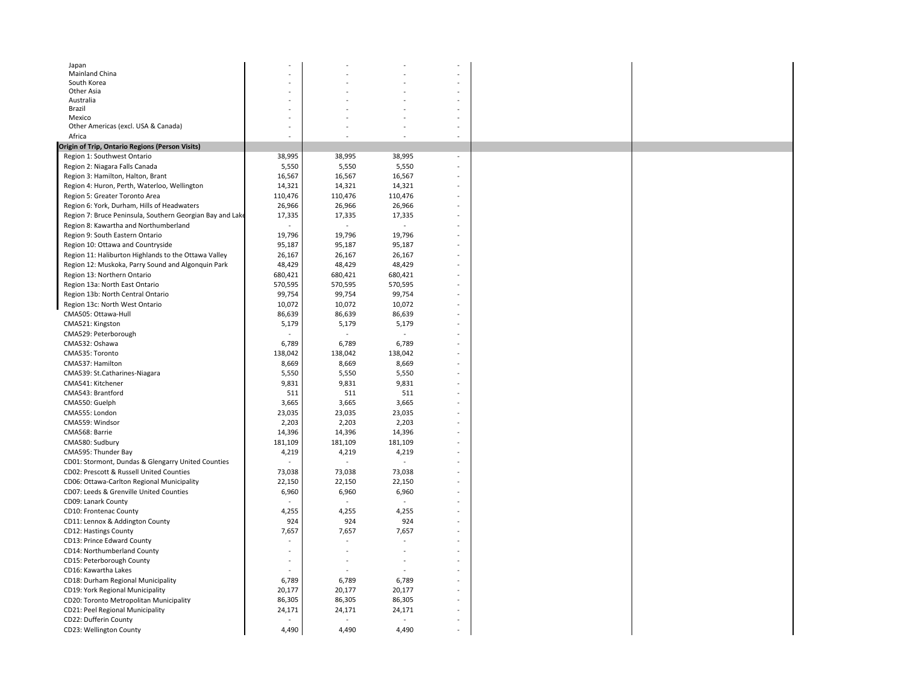| Japan                                                     |         |                    |                          |                          |
|-----------------------------------------------------------|---------|--------------------|--------------------------|--------------------------|
| Mainland China                                            |         |                    |                          |                          |
| South Korea                                               |         |                    |                          |                          |
| Other Asia                                                |         |                    |                          |                          |
| Australia                                                 |         |                    |                          |                          |
| Brazil                                                    |         |                    |                          |                          |
| Mexico                                                    |         |                    |                          |                          |
| Other Americas (excl. USA & Canada)                       |         |                    |                          | $\sim$                   |
| Africa                                                    |         | $\overline{a}$     |                          | $\sim$                   |
| Origin of Trip, Ontario Regions (Person Visits)           |         |                    |                          |                          |
| Region 1: Southwest Ontario                               | 38,995  | 38,995             | 38,995                   | $\overline{\phantom{a}}$ |
| Region 2: Niagara Falls Canada                            | 5,550   | 5,550              | 5,550                    |                          |
| Region 3: Hamilton, Halton, Brant                         | 16,567  | 16,567             | 16,567                   |                          |
| Region 4: Huron, Perth, Waterloo, Wellington              | 14,321  | 14,321             | 14,321                   |                          |
| Region 5: Greater Toronto Area                            | 110,476 | 110,476            | 110,476                  | $\overline{\phantom{a}}$ |
| Region 6: York, Durham, Hills of Headwaters               | 26,966  | 26,966             | 26,966                   |                          |
| Region 7: Bruce Peninsula, Southern Georgian Bay and Lake | 17,335  | 17,335             | 17,335                   |                          |
| Region 8: Kawartha and Northumberland                     |         | $\sim$             | $\sim$                   |                          |
|                                                           |         |                    |                          |                          |
| Region 9: South Eastern Ontario                           | 19,796  | 19,796             | 19,796                   |                          |
| Region 10: Ottawa and Countryside                         | 95,187  | 95,187             | 95,187                   |                          |
| Region 11: Haliburton Highlands to the Ottawa Valley      | 26,167  | 26,167             | 26,167                   | $\overline{\phantom{a}}$ |
| Region 12: Muskoka, Parry Sound and Algonquin Park        | 48,429  | 48,429             | 48,429                   | $\overline{a}$           |
| Region 13: Northern Ontario                               | 680,421 | 680,421            | 680,421                  |                          |
| Region 13a: North East Ontario                            | 570,595 | 570,595            | 570,595                  |                          |
| Region 13b: North Central Ontario                         | 99,754  | 99,754             | 99,754                   |                          |
| Region 13c: North West Ontario                            | 10,072  | 10,072             | 10,072                   |                          |
| CMA505: Ottawa-Hull                                       | 86,639  | 86,639             | 86,639                   |                          |
| CMA521: Kingston                                          | 5,179   | 5,179              | 5,179                    |                          |
| CMA529: Peterborough                                      |         |                    |                          | $\overline{a}$           |
| CMA532: Oshawa                                            | 6,789   | 6,789              | 6,789                    |                          |
| CMA535: Toronto                                           | 138,042 | 138,042            | 138,042                  |                          |
| CMA537: Hamilton                                          | 8,669   | 8,669              | 8,669                    |                          |
| CMA539: St.Catharines-Niagara                             | 5,550   | 5,550              | 5,550                    |                          |
|                                                           |         |                    |                          |                          |
| CMA541: Kitchener                                         | 9,831   | 9,831              | 9,831                    |                          |
| CMA543: Brantford                                         | 511     | 511                | 511                      |                          |
| CMA550: Guelph                                            | 3,665   | 3,665              | 3,665                    | $\overline{a}$           |
| CMA555: London                                            | 23,035  | 23,035             | 23,035                   |                          |
| CMA559: Windsor                                           | 2,203   | 2,203              | 2,203                    |                          |
| CMA568: Barrie                                            | 14,396  | 14,396             | 14,396                   |                          |
| CMA580: Sudbury                                           | 181,109 | 181,109            | 181,109                  |                          |
| CMA595: Thunder Bay                                       | 4,219   | 4,219              | 4,219                    |                          |
| CD01: Stormont, Dundas & Glengarry United Counties        |         | $\bar{\mathbf{z}}$ | $\blacksquare$           |                          |
| CD02: Prescott & Russell United Counties                  | 73,038  | 73,038             | 73,038                   | $\overline{a}$           |
| CD06: Ottawa-Carlton Regional Municipality                | 22,150  | 22,150             | 22,150                   |                          |
| CD07: Leeds & Grenville United Counties                   |         |                    |                          |                          |
|                                                           | 6,960   | 6,960              | 6,960                    |                          |
| CD09: Lanark County                                       |         | ÷,                 | $\blacksquare$           |                          |
| CD10: Frontenac County                                    | 4,255   | 4,255              | 4,255                    |                          |
| CD11: Lennox & Addington County                           | 924     | 924                | 924                      |                          |
| <b>CD12: Hastings County</b>                              | 7,657   | 7,657              | 7,657                    |                          |
| CD13: Prince Edward County                                |         |                    |                          | $\sim$                   |
| CD14: Northumberland County                               |         |                    |                          |                          |
| CD15: Peterborough County                                 |         |                    | ÷.                       |                          |
| CD16: Kawartha Lakes                                      |         |                    | $\sim$                   |                          |
| CD18: Durham Regional Municipality                        | 6,789   | 6,789              | 6,789                    |                          |
| CD19: York Regional Municipality                          | 20,177  | 20,177             | 20,177                   |                          |
| CD20: Toronto Metropolitan Municipality                   | 86,305  | 86,305             | 86,305                   |                          |
| CD21: Peel Regional Municipality                          | 24,171  | 24,171             | 24,171                   | ÷,                       |
|                                                           |         |                    | $\overline{\phantom{a}}$ | $\sim$                   |
| CD22: Dufferin County                                     |         |                    |                          |                          |
| CD23: Wellington County                                   | 4,490   | 4,490              | 4,490                    |                          |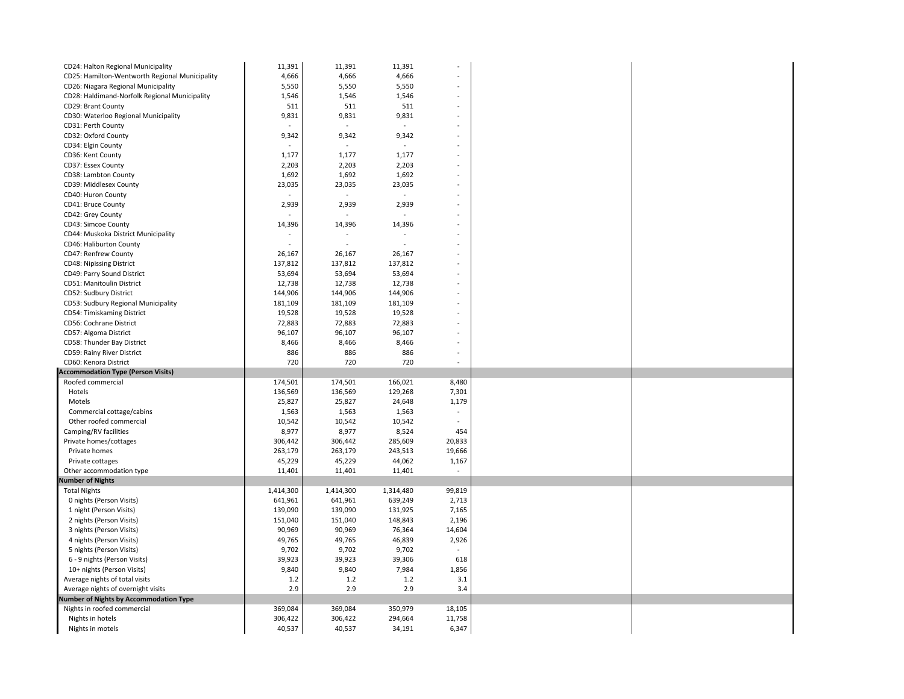| CD24: Halton Regional Municipality             | 11,391          | 11,391          | 11,391                   |        |  |
|------------------------------------------------|-----------------|-----------------|--------------------------|--------|--|
| CD25: Hamilton-Wentworth Regional Municipality | 4,666           | 4,666           | 4,666                    |        |  |
| CD26: Niagara Regional Municipality            | 5,550           | 5,550           | 5,550                    |        |  |
|                                                | 1,546           |                 | 1,546                    |        |  |
| CD28: Haldimand-Norfolk Regional Municipality  | 511             | 1,546<br>511    | 511                      |        |  |
| CD29: Brant County                             |                 |                 |                          |        |  |
| CD30: Waterloo Regional Municipality           | 9,831           | 9,831           | 9,831                    |        |  |
| CD31: Perth County                             |                 | $\omega$        | $\overline{\phantom{a}}$ |        |  |
| CD32: Oxford County                            | 9,342           | 9,342           | 9,342                    |        |  |
| CD34: Elgin County                             |                 | $\blacksquare$  | $\sim$                   |        |  |
| CD36: Kent County                              | 1,177           | 1,177           | 1,177                    |        |  |
| CD37: Essex County                             | 2,203           | 2,203           | 2,203                    |        |  |
| CD38: Lambton County                           | 1,692           | 1,692           | 1,692                    |        |  |
| CD39: Middlesex County                         | 23,035          | 23,035          | 23,035                   |        |  |
| CD40: Huron County                             |                 | $\omega$        | $\omega$                 |        |  |
| CD41: Bruce County                             | 2,939           | 2,939           | 2,939                    |        |  |
| CD42: Grey County                              |                 | $\sim$          | $\sim$                   |        |  |
| CD43: Simcoe County                            | 14,396          | 14,396          | 14,396                   |        |  |
| CD44: Muskoka District Municipality            |                 | $\blacksquare$  | $\sim$                   |        |  |
| CD46: Haliburton County                        |                 |                 | $\overline{\phantom{a}}$ |        |  |
| CD47: Renfrew County                           | 26,167          | 26,167          | 26,167                   |        |  |
| <b>CD48: Nipissing District</b>                | 137,812         | 137,812         | 137,812                  |        |  |
| CD49: Parry Sound District                     | 53,694          | 53,694          | 53,694                   |        |  |
| CD51: Manitoulin District                      | 12,738          | 12,738          | 12,738                   |        |  |
| CD52: Sudbury District                         | 144,906         | 144,906         | 144,906                  |        |  |
| CD53: Sudbury Regional Municipality            | 181,109         | 181,109         | 181,109                  |        |  |
| CD54: Timiskaming District                     | 19,528          | 19,528          | 19,528                   |        |  |
| CD56: Cochrane District                        | 72,883          | 72,883          | 72,883                   |        |  |
| CD57: Algoma District                          | 96,107          | 96,107          | 96,107                   |        |  |
| CD58: Thunder Bay District                     | 8,466           | 8,466           | 8,466                    |        |  |
| CD59: Rainy River District                     | 886             | 886             | 886                      |        |  |
| CD60: Kenora District                          | 720             | 720             | 720                      | $\sim$ |  |
| <b>Accommodation Type (Person Visits)</b>      |                 |                 |                          |        |  |
| Roofed commercial                              | 174,501         | 174,501         | 166,021                  | 8,480  |  |
| Hotels                                         | 136,569         | 136,569         | 129,268                  | 7,301  |  |
| Motels                                         |                 |                 |                          |        |  |
| Commercial cottage/cabins                      | 25,827<br>1,563 | 25,827<br>1,563 | 24,648<br>1,563          | 1,179  |  |
|                                                |                 |                 |                          |        |  |
| Other roofed commercial                        | 10,542          | 10,542          | 10,542                   |        |  |
| Camping/RV facilities                          | 8,977           | 8,977           | 8,524                    | 454    |  |
| Private homes/cottages                         | 306,442         | 306,442         | 285,609                  | 20,833 |  |
| Private homes                                  | 263,179         | 263,179         | 243,513                  | 19,666 |  |
| Private cottages                               | 45,229          | 45,229          | 44,062                   | 1,167  |  |
| Other accommodation type                       | 11,401          | 11,401          | 11,401                   |        |  |
| <b>Number of Nights</b>                        |                 |                 |                          |        |  |
| <b>Total Nights</b>                            | 1,414,300       | 1,414,300       | 1,314,480                | 99,819 |  |
| 0 nights (Person Visits)                       | 641,961         | 641,961         | 639,249                  | 2,713  |  |
| 1 night (Person Visits)                        | 139,090         | 139,090         | 131,925                  | 7,165  |  |
| 2 nights (Person Visits)                       | 151,040         | 151,040         | 148,843                  | 2,196  |  |
| 3 nights (Person Visits)                       | 90,969          | 90,969          | 76,364                   | 14,604 |  |
| 4 nights (Person Visits)                       | 49,765          | 49,765          | 46,839                   | 2,926  |  |
| 5 nights (Person Visits)                       | 9,702           | 9,702           | 9,702                    |        |  |
| 6 - 9 nights (Person Visits)                   | 39,923          | 39,923          | 39,306                   | 618    |  |
| 10+ nights (Person Visits)                     | 9,840           | 9,840           | 7,984                    | 1,856  |  |
| Average nights of total visits                 | $1.2$           | 1.2             | 1.2                      | 3.1    |  |
| Average nights of overnight visits             | 2.9             | 2.9             | 2.9                      | 3.4    |  |
| <b>Number of Nights by Accommodation Type</b>  |                 |                 |                          |        |  |
| Nights in roofed commercial                    | 369,084         | 369,084         | 350,979                  | 18,105 |  |
| Nights in hotels                               | 306,422         | 306,422         | 294,664                  | 11,758 |  |
| Nights in motels                               | 40,537          | 40,537          | 34,191                   | 6,347  |  |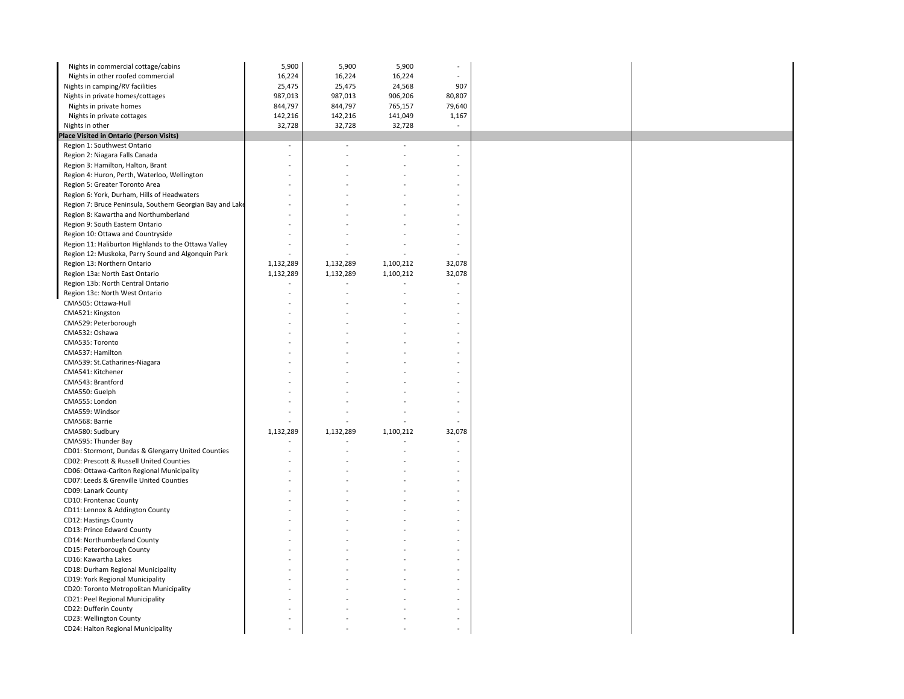| Nights in commercial cottage/cabins                                               | 5,900                    | 5,900     | 5,900     |                          |  |
|-----------------------------------------------------------------------------------|--------------------------|-----------|-----------|--------------------------|--|
| Nights in other roofed commercial                                                 | 16,224                   | 16,224    | 16,224    |                          |  |
| Nights in camping/RV facilities                                                   | 25,475                   | 25,475    | 24,568    | 907                      |  |
| Nights in private homes/cottages                                                  | 987,013                  | 987,013   | 906,206   | 80,807                   |  |
| Nights in private homes                                                           | 844,797                  | 844,797   | 765,157   | 79,640                   |  |
| Nights in private cottages                                                        | 142,216                  | 142,216   | 141,049   | 1,167                    |  |
| Nights in other                                                                   | 32,728                   | 32,728    | 32,728    | $\omega$                 |  |
| <b>Place Visited in Ontario (Person Visits)</b>                                   |                          |           |           |                          |  |
| Region 1: Southwest Ontario                                                       | $\overline{\phantom{a}}$ | $\sim$    | $\sim$    | $\overline{\phantom{a}}$ |  |
|                                                                                   |                          |           |           |                          |  |
| Region 2: Niagara Falls Canada                                                    |                          |           |           |                          |  |
| Region 3: Hamilton, Halton, Brant<br>Region 4: Huron, Perth, Waterloo, Wellington |                          |           |           |                          |  |
| Region 5: Greater Toronto Area                                                    |                          |           |           |                          |  |
| Region 6: York, Durham, Hills of Headwaters                                       |                          |           |           |                          |  |
|                                                                                   |                          |           |           |                          |  |
| Region 7: Bruce Peninsula, Southern Georgian Bay and Lake                         |                          |           |           |                          |  |
| Region 8: Kawartha and Northumberland                                             |                          |           |           |                          |  |
| Region 9: South Eastern Ontario<br>Region 10: Ottawa and Countryside              |                          |           |           |                          |  |
|                                                                                   |                          |           |           |                          |  |
| Region 11: Haliburton Highlands to the Ottawa Valley                              |                          |           |           |                          |  |
| Region 12: Muskoka, Parry Sound and Algonquin Park                                |                          | 1,132,289 |           | 32,078                   |  |
| Region 13: Northern Ontario                                                       | 1,132,289                |           | 1,100,212 |                          |  |
| Region 13a: North East Ontario                                                    | 1,132,289                | 1,132,289 | 1,100,212 | 32,078                   |  |
| Region 13b: North Central Ontario                                                 | ۰                        |           |           |                          |  |
| Region 13c: North West Ontario                                                    | ä,                       |           |           |                          |  |
| CMA505: Ottawa-Hull                                                               |                          |           |           |                          |  |
| CMA521: Kingston                                                                  |                          |           |           |                          |  |
| CMA529: Peterborough                                                              |                          |           |           |                          |  |
| CMA532: Oshawa<br>CMA535: Toronto                                                 |                          |           |           |                          |  |
|                                                                                   |                          |           |           |                          |  |
| CMA537: Hamilton                                                                  |                          |           |           |                          |  |
| CMA539: St.Catharines-Niagara                                                     |                          |           |           |                          |  |
| CMA541: Kitchener                                                                 |                          |           |           |                          |  |
| CMA543: Brantford                                                                 |                          |           |           |                          |  |
| CMA550: Guelph                                                                    |                          |           |           |                          |  |
| CMA555: London                                                                    |                          |           |           |                          |  |
| CMA559: Windsor                                                                   |                          |           |           |                          |  |
| CMA568: Barrie                                                                    |                          |           |           |                          |  |
| CMA580: Sudbury                                                                   | 1,132,289                | 1,132,289 | 1,100,212 | 32,078                   |  |
| CMA595: Thunder Bay                                                               |                          |           |           |                          |  |
| CD01: Stormont, Dundas & Glengarry United Counties                                |                          |           |           |                          |  |
| CD02: Prescott & Russell United Counties                                          |                          |           |           |                          |  |
| CD06: Ottawa-Carlton Regional Municipality                                        |                          |           |           |                          |  |
| CD07: Leeds & Grenville United Counties                                           |                          |           |           |                          |  |
| CD09: Lanark County                                                               |                          |           |           |                          |  |
| CD10: Frontenac County                                                            |                          |           |           |                          |  |
| CD11: Lennox & Addington County                                                   |                          |           |           |                          |  |
| <b>CD12: Hastings County</b>                                                      |                          |           |           |                          |  |
| CD13: Prince Edward County                                                        |                          |           |           |                          |  |
| CD14: Northumberland County<br>CD15: Peterborough County                          |                          |           |           |                          |  |
| CD16: Kawartha Lakes                                                              |                          |           |           |                          |  |
| CD18: Durham Regional Municipality                                                |                          |           |           |                          |  |
|                                                                                   |                          |           |           |                          |  |
| CD19: York Regional Municipality                                                  |                          |           |           |                          |  |
| CD20: Toronto Metropolitan Municipality                                           |                          |           |           |                          |  |
| CD21: Peel Regional Municipality                                                  |                          |           |           |                          |  |
| CD22: Dufferin County                                                             |                          |           |           |                          |  |
| CD23: Wellington County                                                           |                          |           |           |                          |  |
| CD24: Halton Regional Municipality                                                |                          |           |           |                          |  |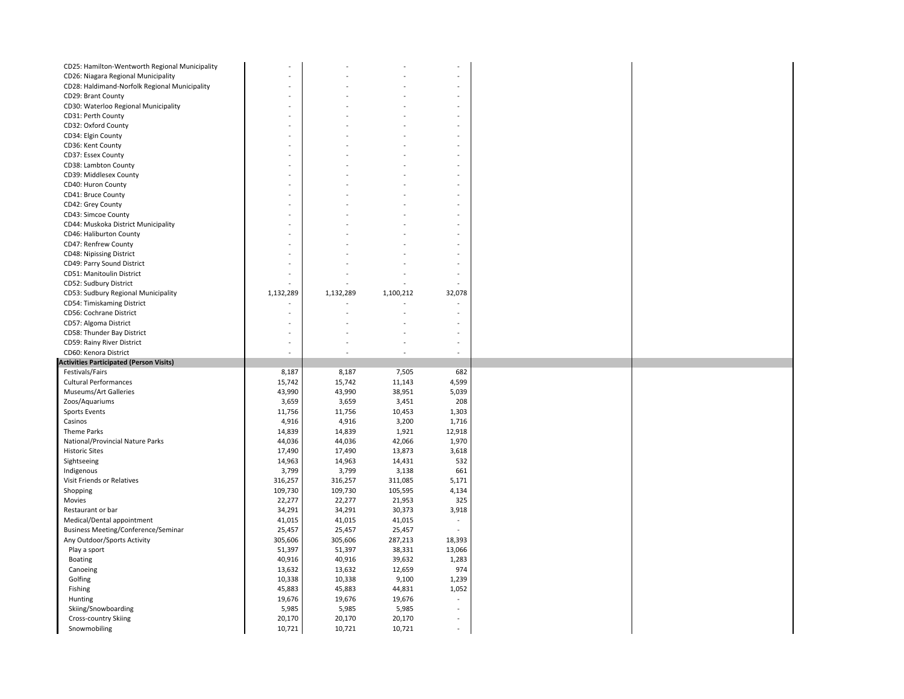| CD25: Hamilton-Wentworth Regional Municipality |                  |                  |                  |                 |
|------------------------------------------------|------------------|------------------|------------------|-----------------|
| CD26: Niagara Regional Municipality            |                  |                  |                  |                 |
| CD28: Haldimand-Norfolk Regional Municipality  |                  |                  |                  |                 |
| CD29: Brant County                             |                  |                  |                  |                 |
| CD30: Waterloo Regional Municipality           |                  |                  |                  |                 |
|                                                |                  |                  |                  |                 |
| CD31: Perth County                             |                  |                  |                  |                 |
| CD32: Oxford County                            |                  |                  |                  |                 |
| CD34: Elgin County                             |                  |                  |                  |                 |
| CD36: Kent County                              |                  |                  |                  |                 |
| CD37: Essex County                             |                  |                  |                  |                 |
| CD38: Lambton County                           |                  |                  |                  |                 |
| CD39: Middlesex County                         |                  |                  |                  |                 |
| CD40: Huron County                             |                  |                  |                  |                 |
| CD41: Bruce County                             |                  |                  |                  |                 |
| CD42: Grey County                              |                  |                  |                  |                 |
| CD43: Simcoe County                            |                  |                  |                  |                 |
| CD44: Muskoka District Municipality            |                  |                  |                  |                 |
| CD46: Haliburton County                        |                  |                  |                  |                 |
| CD47: Renfrew County                           |                  |                  |                  |                 |
| <b>CD48: Nipissing District</b>                |                  |                  |                  |                 |
| CD49: Parry Sound District                     |                  |                  |                  |                 |
| CD51: Manitoulin District                      |                  |                  |                  |                 |
| CD52: Sudbury District                         |                  |                  |                  |                 |
| CD53: Sudbury Regional Municipality            | 1,132,289        | 1,132,289        | 1,100,212        | 32,078          |
| CD54: Timiskaming District                     |                  |                  |                  |                 |
| CD56: Cochrane District                        |                  |                  |                  |                 |
| CD57: Algoma District                          |                  |                  |                  |                 |
| CD58: Thunder Bay District                     |                  |                  |                  |                 |
| CD59: Rainy River District                     |                  |                  |                  |                 |
| CD60: Kenora District                          |                  |                  |                  | $\sim$          |
| <b>Activities Participated (Person Visits)</b> |                  |                  |                  |                 |
| Festivals/Fairs                                | 8,187            | 8,187            | 7,505            | 682             |
| <b>Cultural Performances</b>                   | 15,742           | 15,742           |                  |                 |
|                                                |                  |                  | 11,143           | 4,599           |
| Museums/Art Galleries                          |                  |                  |                  |                 |
|                                                | 43,990           | 43,990           | 38,951           | 5,039           |
| Zoos/Aquariums                                 | 3,659            | 3,659            | 3,451            | 208             |
| Sports Events                                  | 11,756           | 11,756           | 10,453           | 1,303           |
| Casinos                                        | 4,916            | 4,916            | 3,200            | 1,716           |
| Theme Parks                                    | 14,839           | 14,839           | 1,921            | 12,918          |
| National/Provincial Nature Parks               | 44,036           | 44,036           | 42,066           | 1,970           |
| <b>Historic Sites</b>                          | 17,490           | 17,490           | 13,873           | 3,618           |
| Sightseeing                                    | 14,963           | 14,963           | 14,431           | 532             |
| Indigenous                                     | 3,799            | 3,799            | 3,138            | 661             |
|                                                |                  | 316,257          | 311,085          | 5,171           |
| Visit Friends or Relatives                     | 316,257          |                  |                  |                 |
| Shopping                                       | 109,730          | 109,730          | 105,595          | 4,134           |
| Movies                                         | 22,277           | 22,277           | 21,953           | 325             |
| Restaurant or bar                              | 34,291           | 34,291           | 30,373           | 3,918<br>$\sim$ |
| Medical/Dental appointment                     | 41,015           | 41,015           | 41,015           |                 |
| <b>Business Meeting/Conference/Seminar</b>     | 25,457           | 25,457           | 25,457           |                 |
| Any Outdoor/Sports Activity                    | 305,606          | 305,606          | 287,213          | 18,393          |
| Play a sport                                   | 51,397           | 51,397           | 38,331           | 13,066          |
| Boating                                        | 40,916           | 40,916           | 39,632           | 1,283           |
| Canoeing                                       | 13,632           | 13,632           | 12,659           | 974             |
| Golfing                                        | 10,338           | 10,338           | 9,100            | 1,239           |
| Fishing                                        | 45,883           | 45,883           | 44,831           | 1,052           |
| Hunting                                        | 19,676           | 19,676           | 19,676           |                 |
| Skiing/Snowboarding                            | 5,985            | 5,985            | 5,985            |                 |
| Cross-country Skiing                           | 20,170<br>10,721 | 20,170<br>10,721 | 20,170<br>10,721 | $\sim$          |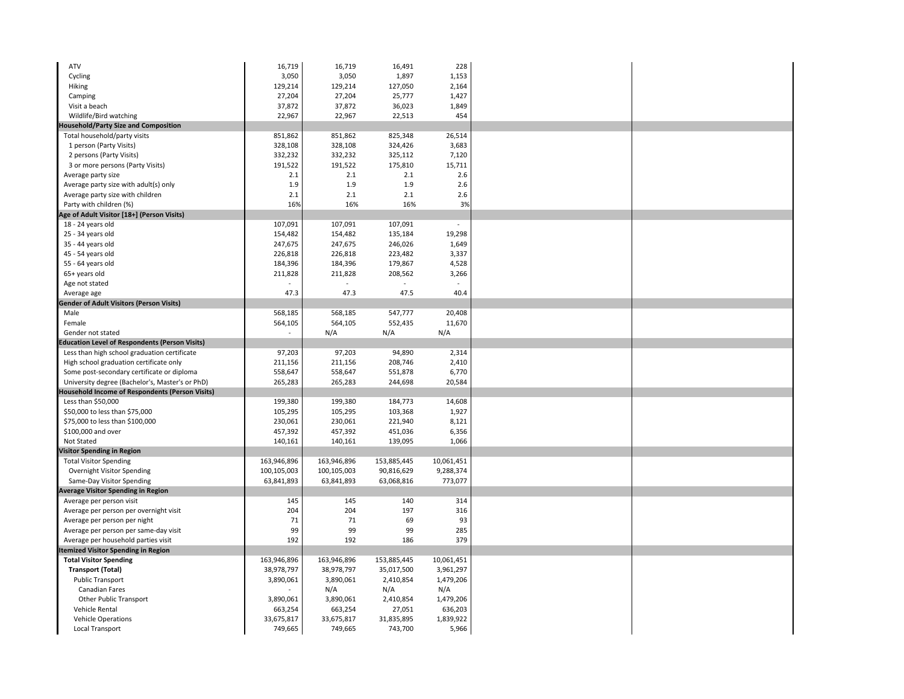| <b>ATV</b>                                            | 16,719         | 16,719      | 16,491      | 228        |  |
|-------------------------------------------------------|----------------|-------------|-------------|------------|--|
| Cycling                                               | 3,050          | 3,050       | 1,897       | 1,153      |  |
|                                                       |                |             |             |            |  |
| Hiking                                                | 129,214        | 129,214     | 127,050     | 2,164      |  |
| Camping                                               | 27,204         | 27,204      | 25,777      | 1,427      |  |
| Visit a beach                                         | 37,872         | 37,872      | 36,023      | 1,849      |  |
| Wildlife/Bird watching                                | 22,967         | 22,967      | 22,513      | 454        |  |
| <b>Household/Party Size and Composition</b>           |                |             |             |            |  |
| Total household/party visits                          | 851,862        | 851,862     | 825,348     | 26,514     |  |
| 1 person (Party Visits)                               | 328,108        | 328,108     | 324,426     | 3,683      |  |
| 2 persons (Party Visits)                              | 332,232        | 332,232     | 325,112     | 7,120      |  |
| 3 or more persons (Party Visits)                      | 191,522        | 191,522     | 175,810     | 15,711     |  |
| Average party size                                    | 2.1            | 2.1         | 2.1         | 2.6        |  |
| Average party size with adult(s) only                 | 1.9            | 1.9         | 1.9         | 2.6        |  |
| Average party size with children                      | 2.1            | 2.1         | 2.1         | 2.6        |  |
| Party with children (%)                               | 16%            | 16%         | 16%         | 3%         |  |
| Age of Adult Visitor [18+] (Person Visits)            |                |             |             |            |  |
| 18 - 24 years old                                     | 107,091        | 107,091     | 107,091     |            |  |
| 25 - 34 years old                                     | 154,482        | 154,482     | 135,184     | 19,298     |  |
| 35 - 44 years old                                     | 247,675        | 247,675     | 246,026     | 1,649      |  |
| 45 - 54 years old                                     | 226,818        | 226,818     | 223,482     | 3,337      |  |
| 55 - 64 years old                                     | 184,396        | 184,396     | 179,867     | 4,528      |  |
| 65+ years old                                         | 211,828        | 211,828     | 208,562     | 3,266      |  |
| Age not stated                                        |                | $\sim$      |             |            |  |
| Average age                                           | 47.3           | 47.3        | 47.5        | 40.4       |  |
|                                                       |                |             |             |            |  |
| <b>Gender of Adult Visitors (Person Visits)</b>       |                |             |             |            |  |
| Male                                                  | 568,185        | 568,185     | 547,777     | 20,408     |  |
| Female                                                | 564,105        | 564,105     | 552,435     | 11,670     |  |
| Gender not stated                                     | $\blacksquare$ | N/A         | N/A         | N/A        |  |
| <b>Education Level of Respondents (Person Visits)</b> |                |             |             |            |  |
| Less than high school graduation certificate          | 97,203         | 97,203      | 94,890      | 2,314      |  |
| High school graduation certificate only               | 211,156        | 211,156     | 208,746     | 2,410      |  |
| Some post-secondary certificate or diploma            | 558,647        | 558,647     | 551,878     | 6,770      |  |
| University degree (Bachelor's, Master's or PhD)       | 265,283        | 265,283     | 244,698     | 20,584     |  |
| Household Income of Respondents (Person Visits)       |                |             |             |            |  |
| Less than $$50,000$                                   | 199,380        | 199,380     | 184,773     | 14,608     |  |
| \$50,000 to less than \$75,000                        | 105,295        | 105,295     | 103,368     | 1,927      |  |
| \$75,000 to less than \$100,000                       | 230,061        | 230,061     | 221,940     | 8,121      |  |
| \$100,000 and over                                    | 457,392        | 457,392     | 451,036     | 6,356      |  |
| Not Stated                                            | 140,161        | 140,161     | 139,095     | 1,066      |  |
| Visitor Spending in Region                            |                |             |             |            |  |
| <b>Total Visitor Spending</b>                         | 163,946,896    | 163,946,896 | 153,885,445 | 10,061,451 |  |
| Overnight Visitor Spending                            | 100,105,003    | 100,105,003 | 90,816,629  | 9,288,374  |  |
| Same-Day Visitor Spending                             | 63,841,893     | 63,841,893  | 63,068,816  | 773,077    |  |
| Average Visitor Spending in Region                    |                |             |             |            |  |
| Average per person visit                              | 145            | 145         | 140         | 314        |  |
| Average per person per overnight visit                | 204            | 204         | 197         | 316        |  |
| Average per person per night                          | 71             | 71          | 69          | 93         |  |
| Average per person per same-day visit                 | 99             | 99          | 99          | 285        |  |
| Average per household parties visit                   | 192            | 192         | 186         | 379        |  |
| <b>Itemized Visitor Spending in Region</b>            |                |             |             |            |  |
| <b>Total Visitor Spending</b>                         | 163,946,896    | 163,946,896 | 153,885,445 | 10,061,451 |  |
| <b>Transport (Total)</b>                              | 38,978,797     | 38,978,797  | 35,017,500  | 3,961,297  |  |
| Public Transport                                      | 3,890,061      | 3,890,061   | 2,410,854   | 1,479,206  |  |
| Canadian Fares                                        |                |             |             |            |  |
|                                                       |                | N/A         | N/A         | N/A        |  |
| Other Public Transport                                | 3,890,061      | 3,890,061   | 2,410,854   | 1,479,206  |  |
| Vehicle Rental                                        | 663,254        | 663,254     | 27,051      | 636,203    |  |
| <b>Vehicle Operations</b>                             | 33,675,817     | 33,675,817  | 31,835,895  | 1,839,922  |  |
| Local Transport                                       | 749,665        | 749,665     | 743,700     | 5,966      |  |